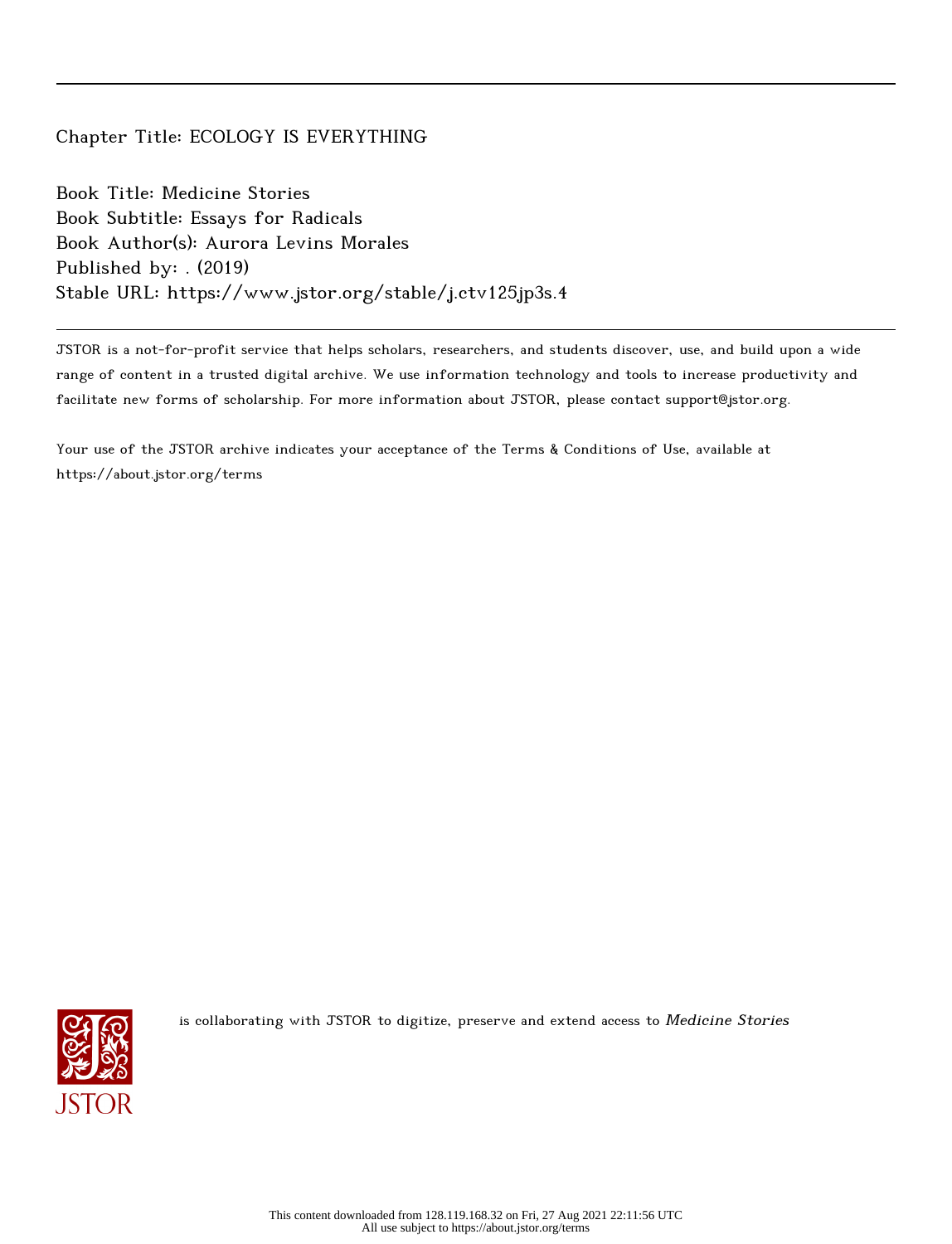## Chapter Title: ECOLOGY IS EVERYTHING

Book Title: Medicine Stories Book Subtitle: Essays for Radicals Book Author(s): Aurora Levins Morales Published by: . (2019) Stable URL: https://www.jstor.org/stable/j.ctv125jp3s.4

JSTOR is a not-for-profit service that helps scholars, researchers, and students discover, use, and build upon a wide range of content in a trusted digital archive. We use information technology and tools to increase productivity and facilitate new forms of scholarship. For more information about JSTOR, please contact support@jstor.org.

Your use of the JSTOR archive indicates your acceptance of the Terms & Conditions of Use, available at https://about.jstor.org/terms



is collaborating with JSTOR to digitize, preserve and extend access to Medicine Stories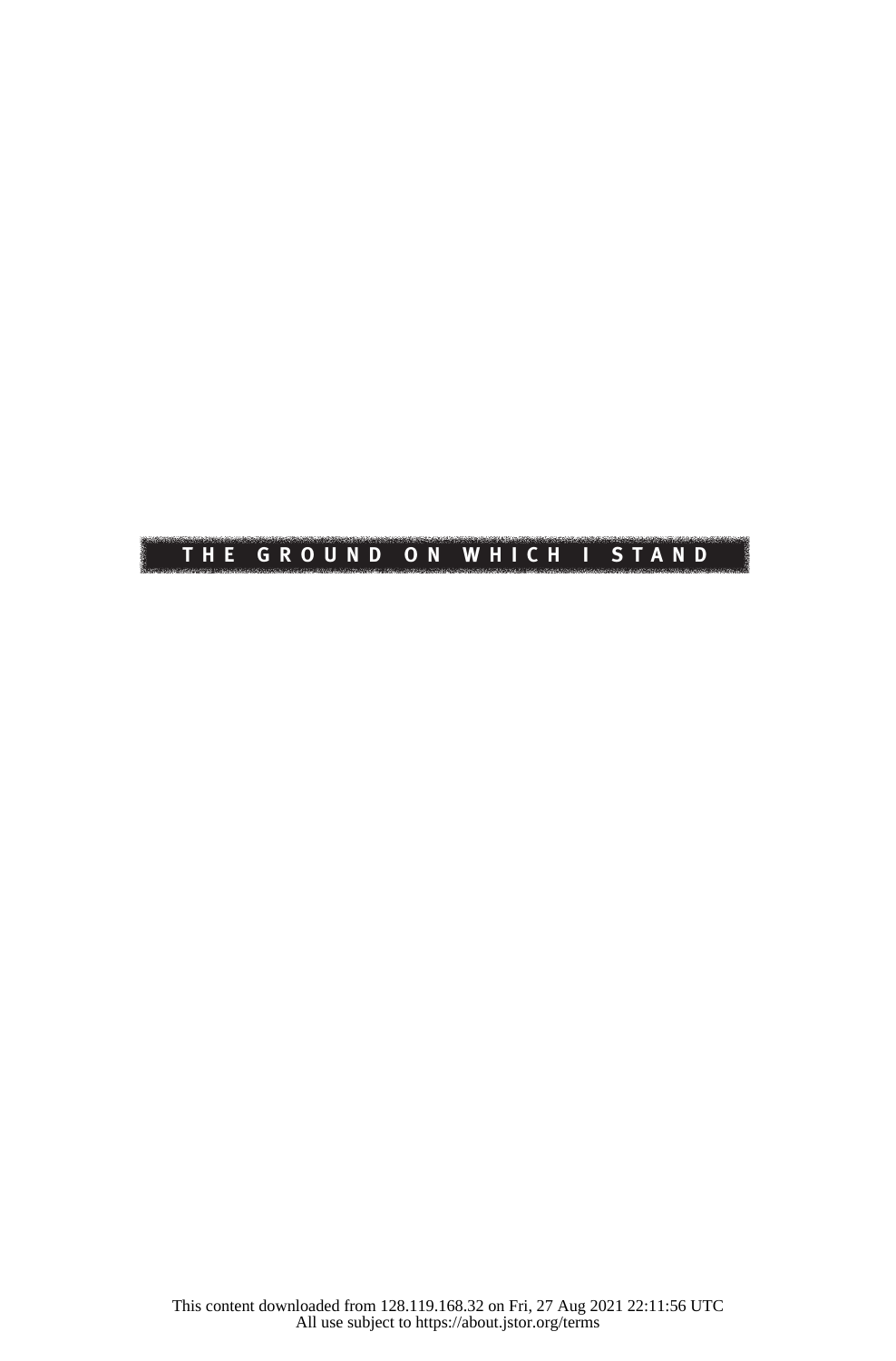## **THE GROUND ON WHICH I STAND**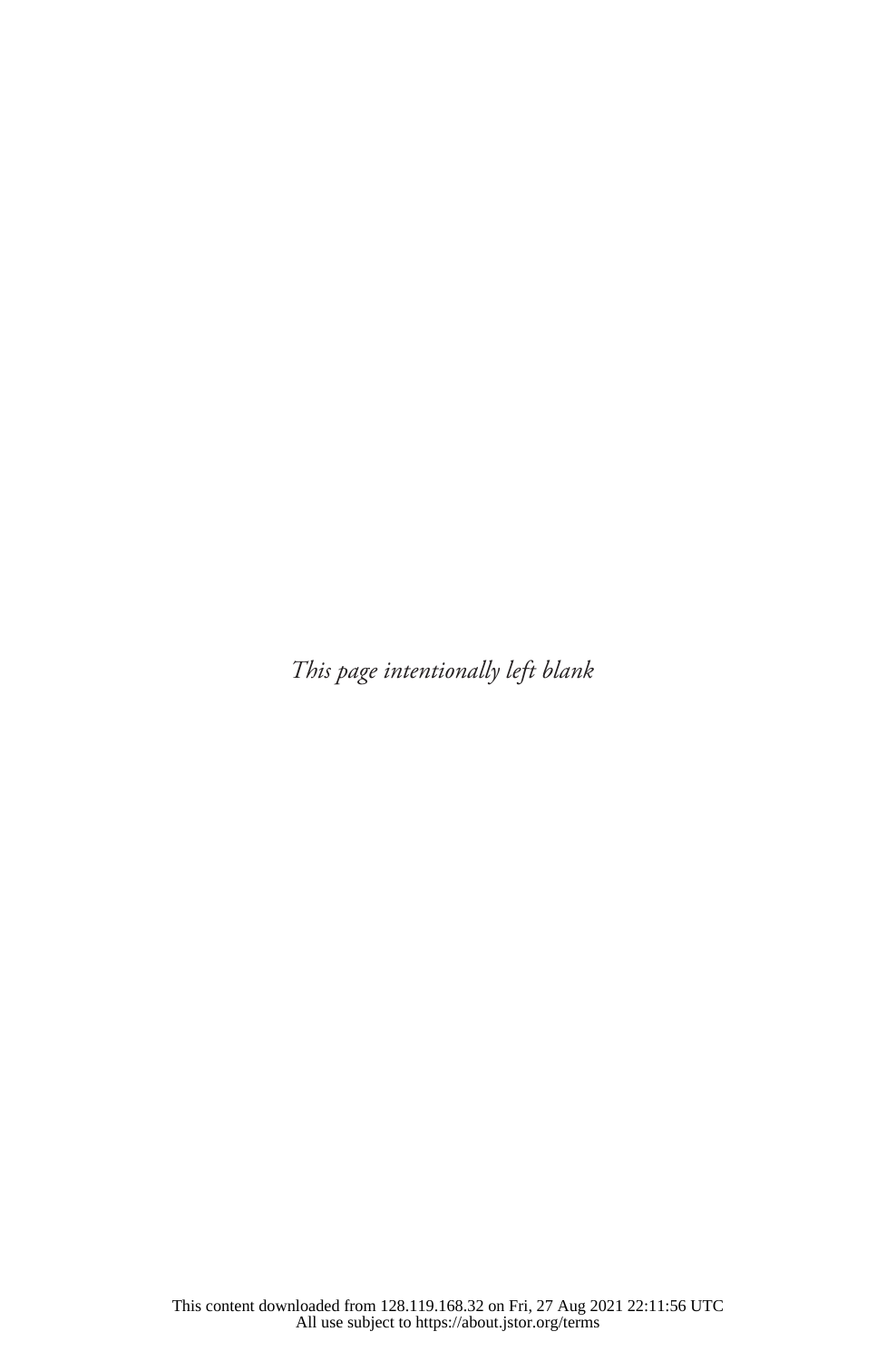*This page intentionally left blank*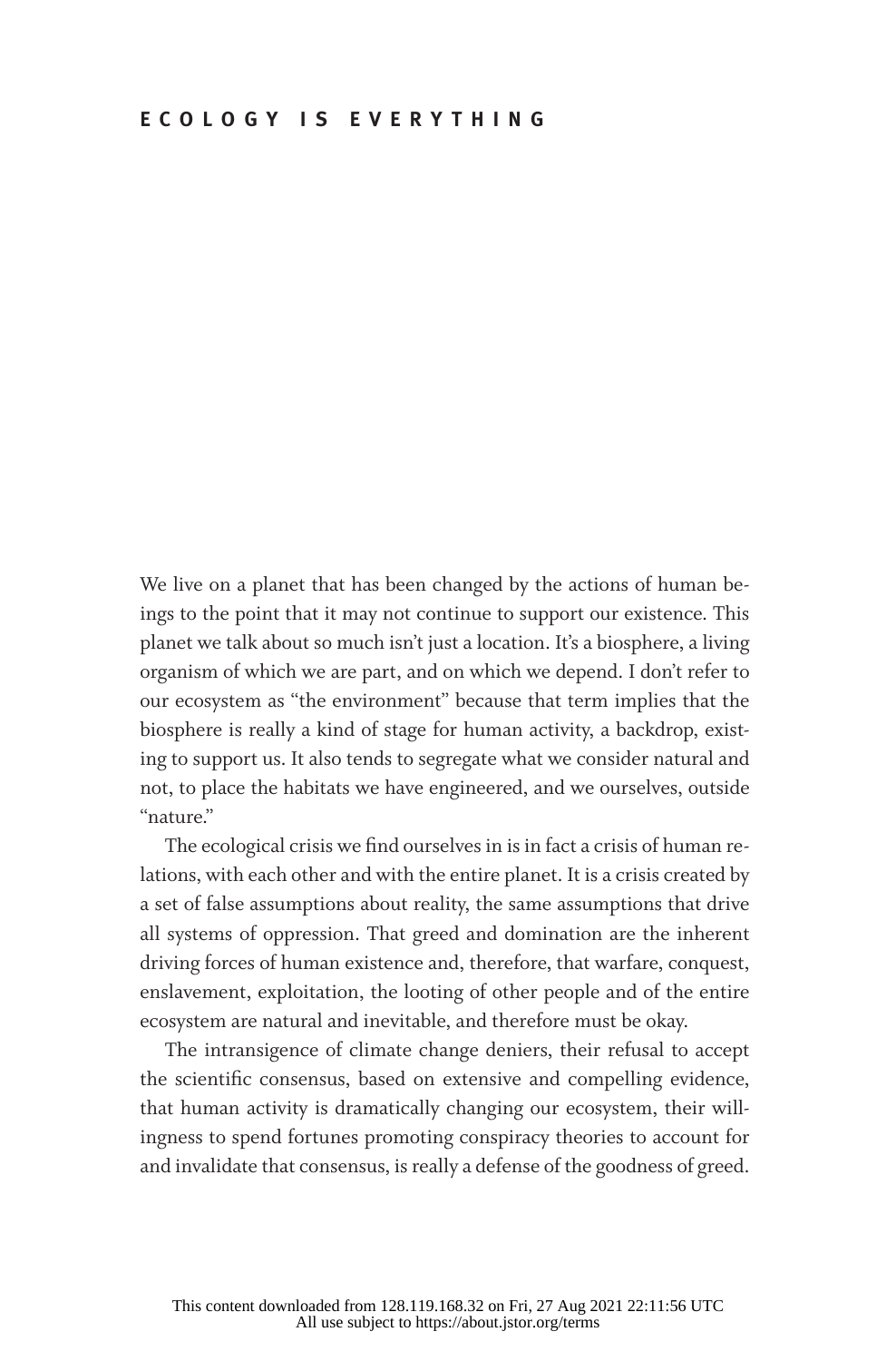We live on a planet that has been changed by the actions of human beings to the point that it may not continue to support our existence. This planet we talk about so much isn't just a location. It's a biosphere, a living organism of which we are part, and on which we depend. I don't refer to our ecosystem as "the environment" because that term implies that the biosphere is really a kind of stage for human activity, a backdrop, existing to support us. It also tends to segregate what we consider natural and not, to place the habitats we have engineered, and we ourselves, outside "nature."

The ecological crisis we find ourselves in is in fact a crisis of human relations, with each other and with the entire planet. It is a crisis created by a set of false assumptions about reality, the same assumptions that drive all systems of oppression. That greed and domination are the inherent driving forces of human existence and, therefore, that warfare, conquest, enslavement, exploitation, the looting of other people and of the entire ecosystem are natural and inevitable, and therefore must be okay.

The intransigence of climate change deniers, their refusal to accept the scientific consensus, based on extensive and compelling evidence, that human activity is dramatically changing our ecosystem, their willingness to spend fortunes promoting conspiracy theories to account for and invalidate that consensus, is really a defense of the goodness of greed.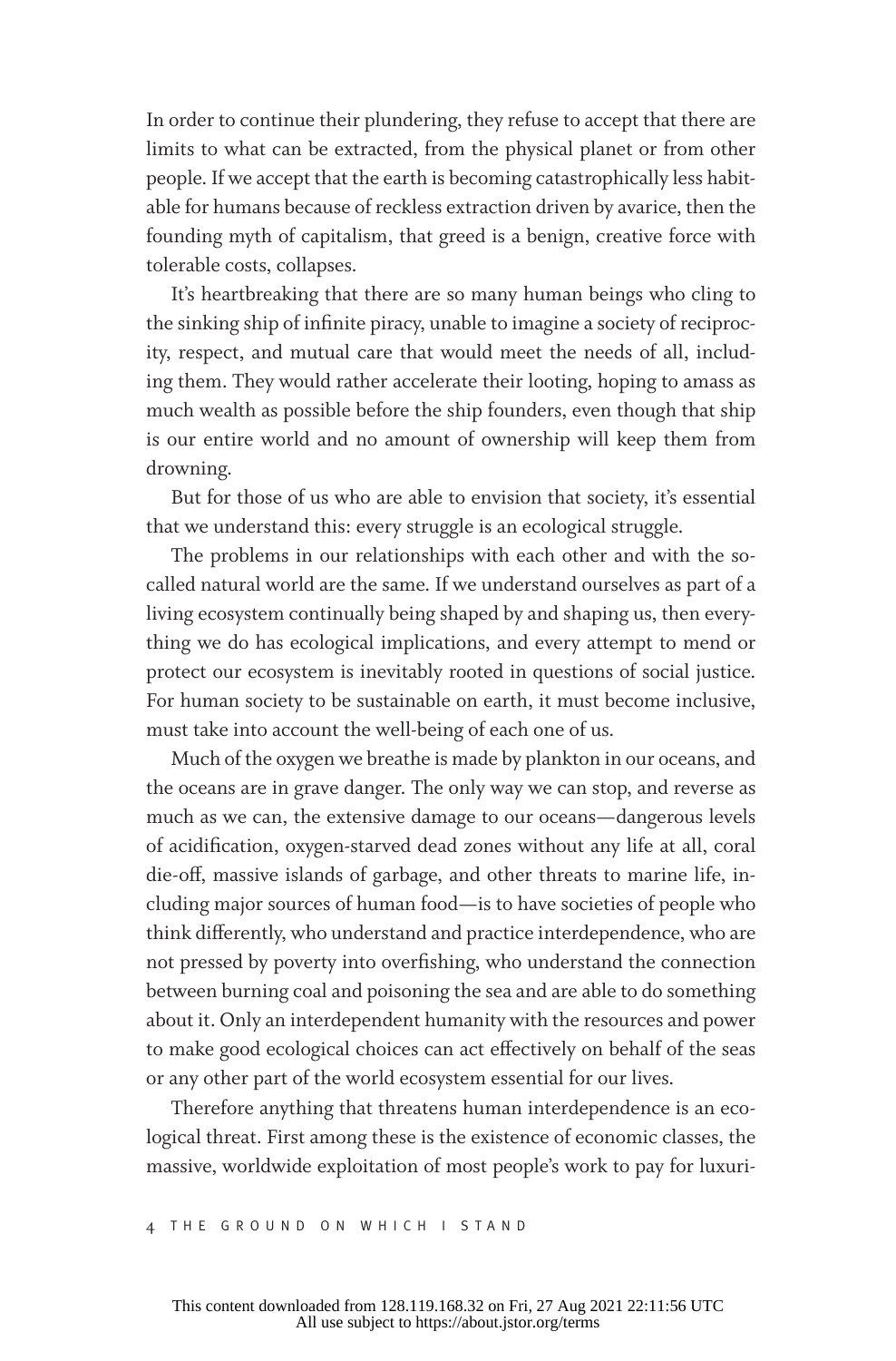In order to continue their plundering, they refuse to accept that there are limits to what can be extracted, from the physical planet or from other people. If we accept that the earth is becoming catastrophically less habitable for humans because of reckless extraction driven by avarice, then the founding myth of capitalism, that greed is a benign, creative force with tolerable costs, collapses.

It's heartbreaking that there are so many human beings who cling to the sinking ship of infinite piracy, unable to imagine a society of reciprocity, respect, and mutual care that would meet the needs of all, including them. They would rather accelerate their looting, hoping to amass as much wealth as possible before the ship founders, even though that ship is our entire world and no amount of ownership will keep them from drowning.

But for those of us who are able to envision that society, it's essential that we understand this: every struggle is an ecological struggle.

The problems in our relationships with each other and with the socalled natural world are the same. If we understand ourselves as part of a living ecosystem continually being shaped by and shaping us, then everything we do has ecological implications, and every attempt to mend or protect our ecosystem is inevitably rooted in questions of social justice. For human society to be sustainable on earth, it must become inclusive, must take into account the well-being of each one of us.

Much of the oxygen we breathe is made by plankton in our oceans, and the oceans are in grave danger. The only way we can stop, and reverse as much as we can, the extensive damage to our oceans—dangerous levels of acidification, oxygen-starved dead zones without any life at all, coral die-off, massive islands of garbage, and other threats to marine life, including major sources of human food—is to have societies of people who think differently, who understand and practice interdependence, who are not pressed by poverty into overfishing, who understand the connection between burning coal and poisoning the sea and are able to do something about it. Only an interdependent humanity with the resources and power to make good ecological choices can act effectively on behalf of the seas or any other part of the world ecosystem essential for our lives.

Therefore anything that threatens human interdependence is an ecological threat. First among these is the existence of economic classes, the massive, worldwide exploitation of most people's work to pay for luxuri-

4 THE GROUND ON WHICH I STAND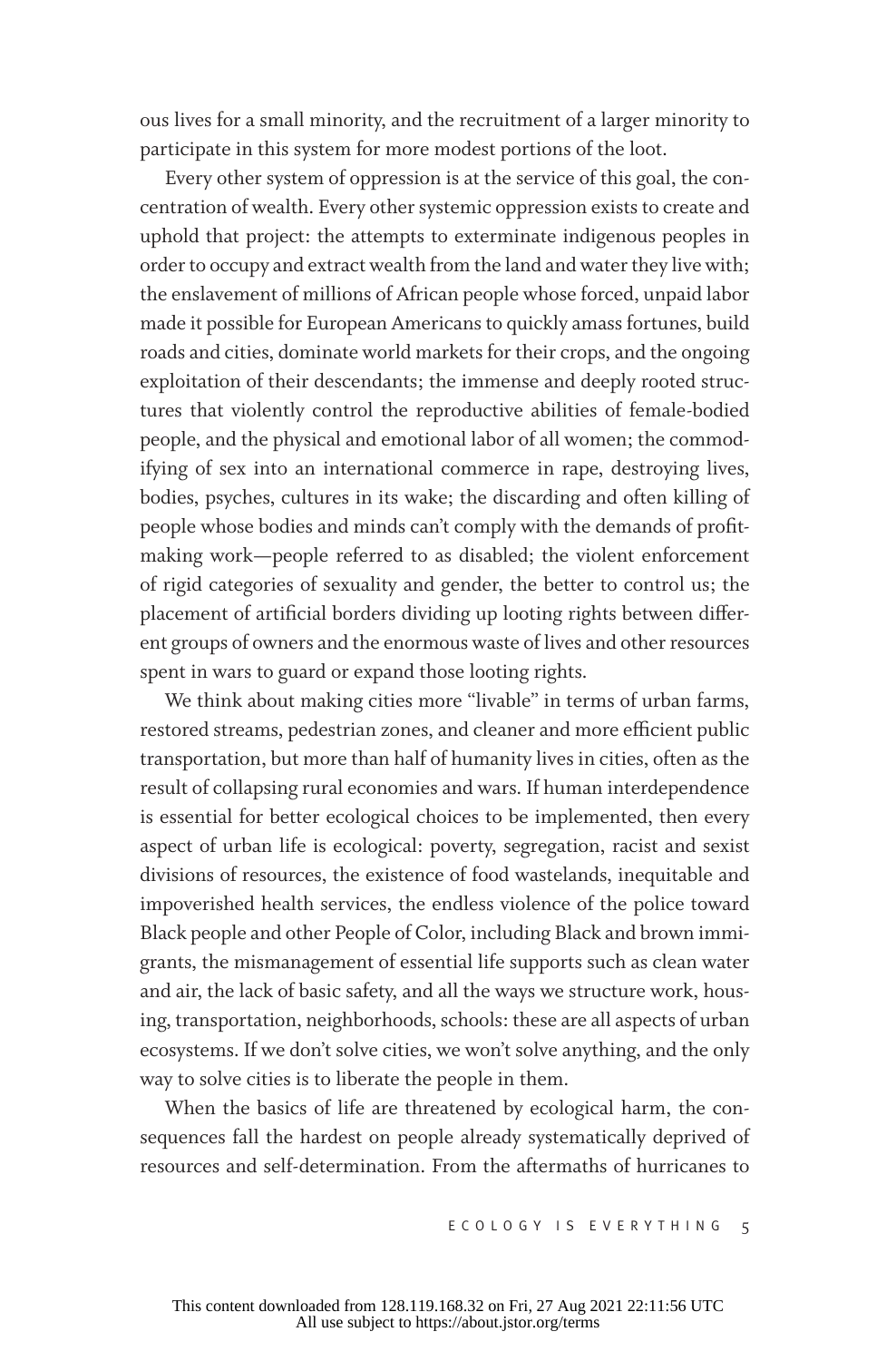ous lives for a small minority, and the recruitment of a larger minority to participate in this system for more modest portions of the loot.

Every other system of oppression is at the service of this goal, the concentration of wealth. Every other systemic oppression exists to create and uphold that project: the attempts to exterminate indigenous peoples in order to occupy and extract wealth from the land and water they live with; the enslavement of millions of African people whose forced, unpaid labor made it possible for European Americans to quickly amass fortunes, build roads and cities, dominate world markets for their crops, and the ongoing exploitation of their descendants; the immense and deeply rooted structures that violently control the reproductive abilities of female-bodied people, and the physical and emotional labor of all women; the commodifying of sex into an international commerce in rape, destroying lives, bodies, psyches, cultures in its wake; the discarding and often killing of people whose bodies and minds can't comply with the demands of profitmaking work—people referred to as disabled; the violent enforcement of rigid categories of sexuality and gender, the better to control us; the placement of artificial borders dividing up looting rights between different groups of owners and the enormous waste of lives and other resources spent in wars to guard or expand those looting rights.

We think about making cities more "livable" in terms of urban farms, restored streams, pedestrian zones, and cleaner and more efficient public transportation, but more than half of humanity lives in cities, often as the result of collapsing rural economies and wars. If human interdependence is essential for better ecological choices to be implemented, then every aspect of urban life is ecological: poverty, segregation, racist and sexist divisions of resources, the existence of food wastelands, inequitable and impoverished health services, the endless violence of the police toward Black people and other People of Color, including Black and brown immigrants, the mismanagement of essential life supports such as clean water and air, the lack of basic safety, and all the ways we structure work, housing, transportation, neighborhoods, schools: these are all aspects of urban ecosystems. If we don't solve cities, we won't solve anything, and the only way to solve cities is to liberate the people in them.

When the basics of life are threatened by ecological harm, the consequences fall the hardest on people already systematically deprived of resources and self-determination. From the aftermaths of hurricanes to

E C O L O G Y IS EVERY THING 5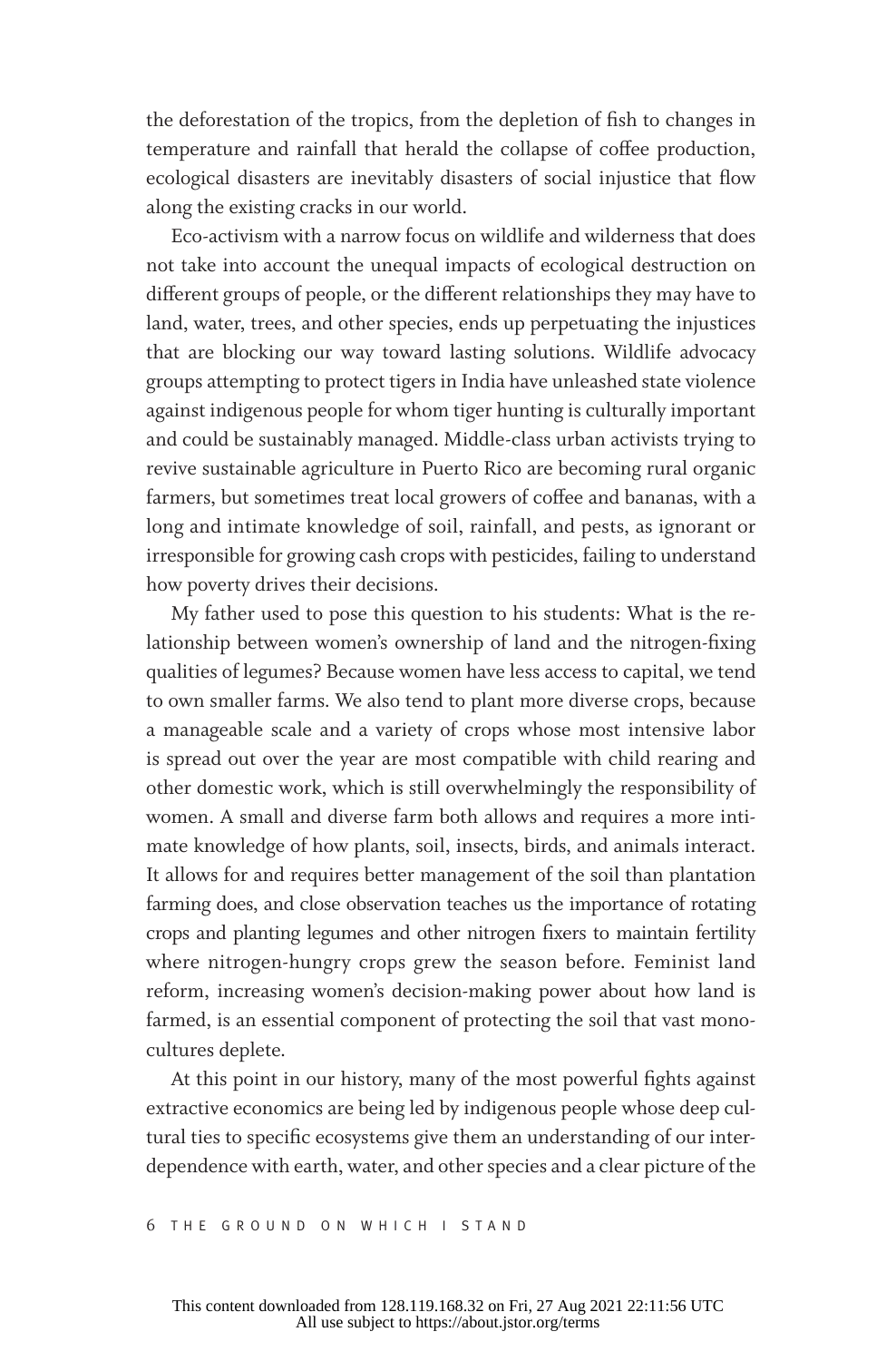the deforestation of the tropics, from the depletion of fish to changes in temperature and rainfall that herald the collapse of coffee production, ecological disasters are inevitably disasters of social injustice that flow along the existing cracks in our world.

Eco-activism with a narrow focus on wildlife and wilderness that does not take into account the unequal impacts of ecological destruction on different groups of people, or the different relationships they may have to land, water, trees, and other species, ends up perpetuating the injustices that are blocking our way toward lasting solutions. Wildlife advocacy groups attempting to protect tigers in India have unleashed state violence against indigenous people for whom tiger hunting is culturally important and could be sustainably managed. Middle-class urban activists trying to revive sustainable agriculture in Puerto Rico are becoming rural organic farmers, but sometimes treat local growers of coffee and bananas, with a long and intimate knowledge of soil, rainfall, and pests, as ignorant or irresponsible for growing cash crops with pesticides, failing to understand how poverty drives their decisions.

My father used to pose this question to his students: What is the relationship between women's ownership of land and the nitrogen-fixing qualities of legumes? Because women have less access to capital, we tend to own smaller farms. We also tend to plant more diverse crops, because a manageable scale and a variety of crops whose most intensive labor is spread out over the year are most compatible with child rearing and other domestic work, which is still overwhelmingly the responsibility of women. A small and diverse farm both allows and requires a more intimate knowledge of how plants, soil, insects, birds, and animals interact. It allows for and requires better management of the soil than plantation farming does, and close observation teaches us the importance of rotating crops and planting legumes and other nitrogen fixers to maintain fertility where nitrogen-hungry crops grew the season before. Feminist land reform, increasing women's decision-making power about how land is farmed, is an essential component of protecting the soil that vast monocultures deplete.

At this point in our history, many of the most powerful fights against extractive economics are being led by indigenous people whose deep cultural ties to specific ecosystems give them an understanding of our interdependence with earth, water, and other species and a clear picture of the

6 T he Ground on Which I Stand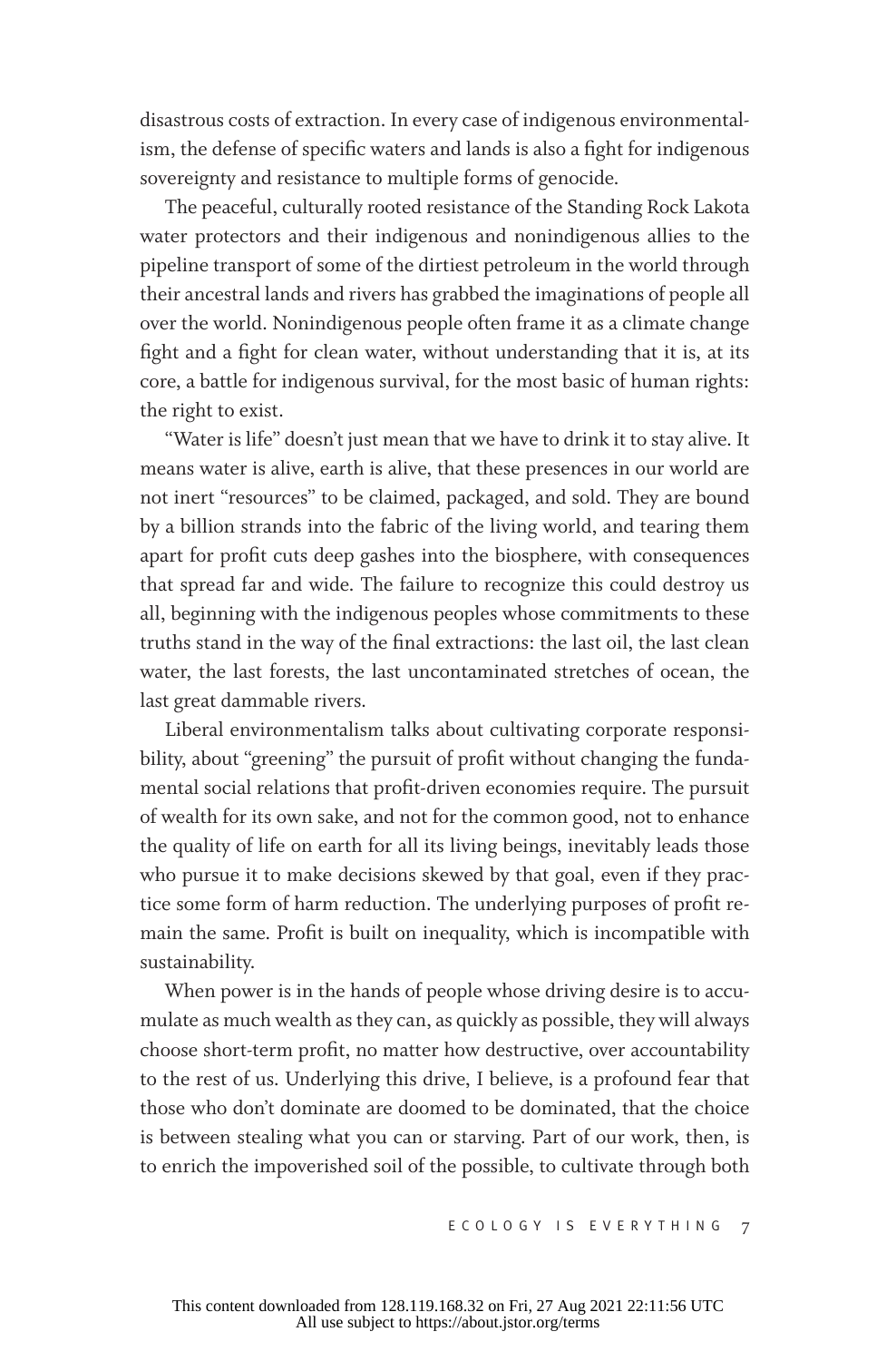disastrous costs of extraction. In every case of indigenous environmentalism, the defense of specific waters and lands is also a fight for indigenous sovereignty and resistance to multiple forms of genocide.

The peaceful, culturally rooted resistance of the Standing Rock Lakota water protectors and their indigenous and nonindigenous allies to the pipeline transport of some of the dirtiest petroleum in the world through their ancestral lands and rivers has grabbed the imaginations of people all over the world. Nonindigenous people often frame it as a climate change fight and a fight for clean water, without understanding that it is, at its core, a battle for indigenous survival, for the most basic of human rights: the right to exist.

"Water is life" doesn't just mean that we have to drink it to stay alive. It means water is alive, earth is alive, that these presences in our world are not inert "resources" to be claimed, packaged, and sold. They are bound by a billion strands into the fabric of the living world, and tearing them apart for profit cuts deep gashes into the biosphere, with consequences that spread far and wide. The failure to recognize this could destroy us all, beginning with the indigenous peoples whose commitments to these truths stand in the way of the final extractions: the last oil, the last clean water, the last forests, the last uncontaminated stretches of ocean, the last great dammable rivers.

Liberal environmentalism talks about cultivating corporate responsibility, about "greening" the pursuit of profit without changing the fundamental social relations that profit-driven economies require. The pursuit of wealth for its own sake, and not for the common good, not to enhance the quality of life on earth for all its living beings, inevitably leads those who pursue it to make decisions skewed by that goal, even if they practice some form of harm reduction. The underlying purposes of profit remain the same. Profit is built on inequality, which is incompatible with sustainability.

When power is in the hands of people whose driving desire is to accumulate as much wealth as they can, as quickly as possible, they will always choose short-term profit, no matter how destructive, over accountability to the rest of us. Underlying this drive, I believe, is a profound fear that those who don't dominate are doomed to be dominated, that the choice is between stealing what you can or starving. Part of our work, then, is to enrich the impoverished soil of the possible, to cultivate through both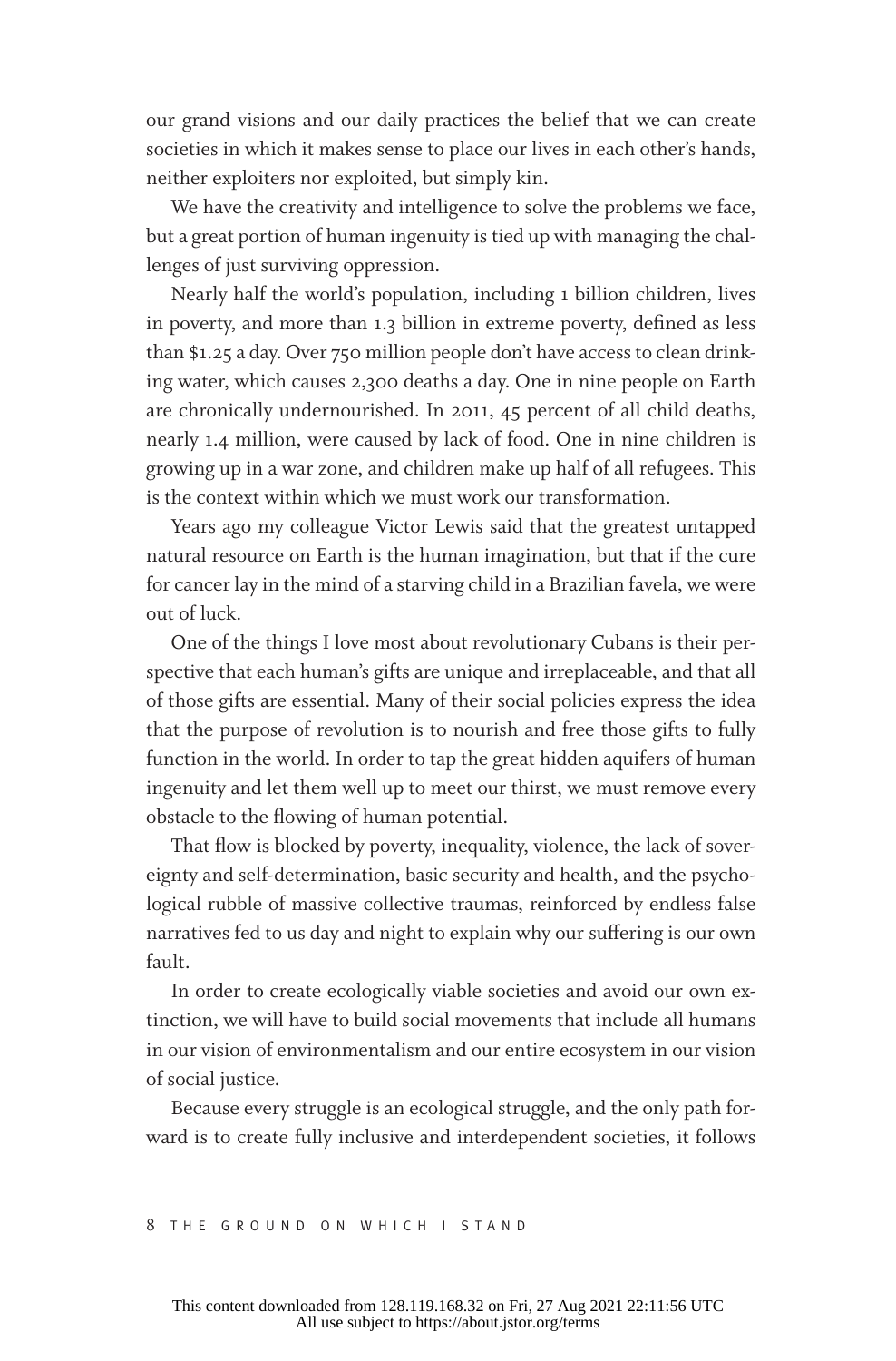our grand visions and our daily practices the belief that we can create societies in which it makes sense to place our lives in each other's hands, neither exploiters nor exploited, but simply kin.

We have the creativity and intelligence to solve the problems we face, but a great portion of human ingenuity is tied up with managing the challenges of just surviving oppression.

Nearly half the world's population, including 1 billion children, lives in poverty, and more than 1.3 billion in extreme poverty, defined as less than \$1.25 a day. Over 750 million people don't have access to clean drinking water, which causes 2,300 deaths a day. One in nine people on Earth are chronically undernourished. In 2011, 45 percent of all child deaths, nearly 1.4 million, were caused by lack of food. One in nine children is growing up in a war zone, and children make up half of all refugees. This is the context within which we must work our transformation.

Years ago my colleague Victor Lewis said that the greatest untapped natural resource on Earth is the human imagination, but that if the cure for cancer lay in the mind of a starving child in a Brazilian favela, we were out of luck.

One of the things I love most about revolutionary Cubans is their perspective that each human's gifts are unique and irreplaceable, and that all of those gifts are essential. Many of their social policies express the idea that the purpose of revolution is to nourish and free those gifts to fully function in the world. In order to tap the great hidden aquifers of human ingenuity and let them well up to meet our thirst, we must remove every obstacle to the flowing of human potential.

That flow is blocked by poverty, inequality, violence, the lack of sovereignty and self-determination, basic security and health, and the psychological rubble of massive collective traumas, reinforced by endless false narratives fed to us day and night to explain why our suffering is our own fault.

In order to create ecologically viable societies and avoid our own extinction, we will have to build social movements that include all humans in our vision of environmentalism and our entire ecosystem in our vision of social justice.

Because every struggle is an ecological struggle, and the only path forward is to create fully inclusive and interdependent societies, it follows

8 T he Ground on Which I Stand